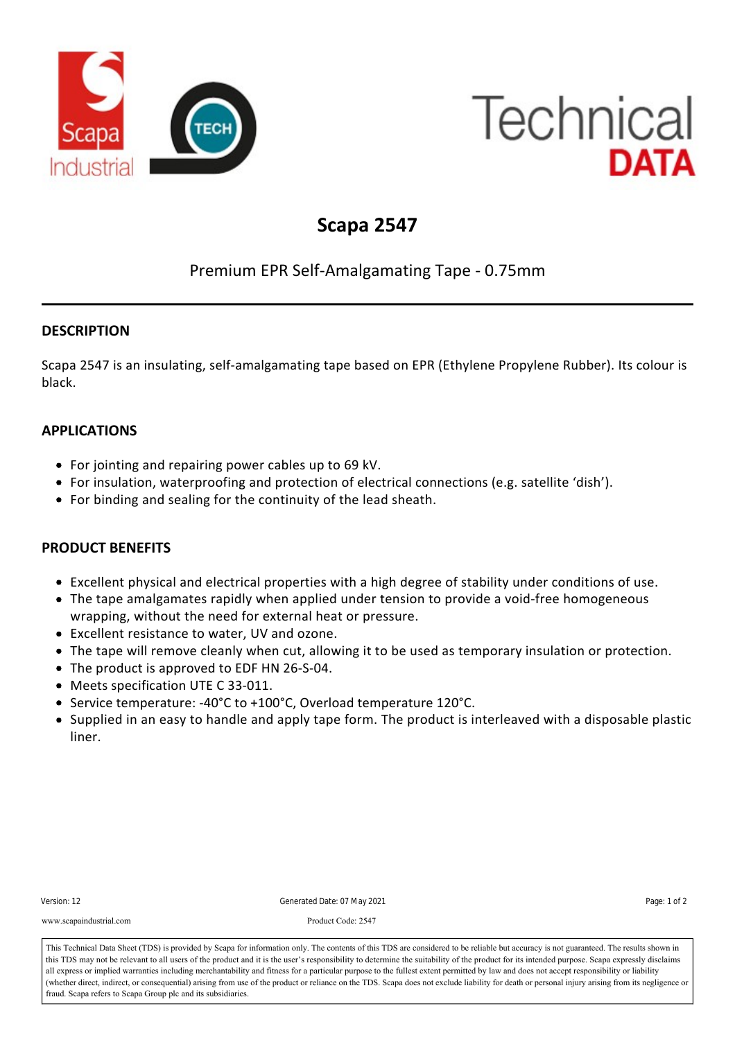

# **Technical** DATA

## **Scapa 2547**

### Premium EPR Self‐Amalgamating Tape ‐ 0.75mm

#### **DESCRIPTION**

Scapa 2547 is an insulating, self‐amalgamating tape based on EPR (Ethylene Propylene Rubber). Its colour is black.

#### **APPLICATIONS**

- For jointing and repairing power cables up to 69 kV.
- For insulation, waterproofing and protection of electrical connections (e.g. satellite 'dish').
- For binding and sealing for the continuity of the lead sheath.

#### **PRODUCT BENEFITS**

Branding: Scapa

- Excellent physical and electrical properties with a high degree of stability under conditions of use.
- The tape amalgamates rapidly when applied under tension to provide a void-free homogeneous wrapping, without the need for external heat or pressure.
- Excellent resistance to water, UV and ozone.
- The tape will remove cleanly when cut, allowing it to be used as temporary insulation or protection.
- The product is approved to EDF HN 26-S-04.
- Meets specification UTE C 33-011.
- Service temperature: ‐40°C to +100°C, Overload temperature 120°C.
- Supplied in an easy to handle and apply tape form. The product is interleaved with a disposable plastic liner.

| Version: 12             | Generated Date: 07 May 2021                                                                                                                                                                                                                                                                                                                                                            | Page: 1 of 2 |
|-------------------------|----------------------------------------------------------------------------------------------------------------------------------------------------------------------------------------------------------------------------------------------------------------------------------------------------------------------------------------------------------------------------------------|--------------|
| www.scapaindustrial.com | Product Code: 2547                                                                                                                                                                                                                                                                                                                                                                     |              |
|                         | This Technical Data Sheet (TDS) is provided by Scapa for information only. The contents of this TDS are considered to be reliable but accuracy is not guaranteed. The results shown in<br>this TDS may not be relevant to all users of the product and it is the user's responsibility to determine the suitability of the product for its intended purpose. Scapa expressly disclaims |              |

all express or implied warranties including merchantability and fitness for a particular purpose to the fullest extent permitted by law and does not accept responsibility or liability or liability of the fundamental presen (whether direct, indirect, or consequential) arising from use of the product or reliance on the TDS. Scapa does not exclude liability for death or personal injury arising from its negligence or fraud. Scapa refers to Scapa Group plc and its subsidiaries.